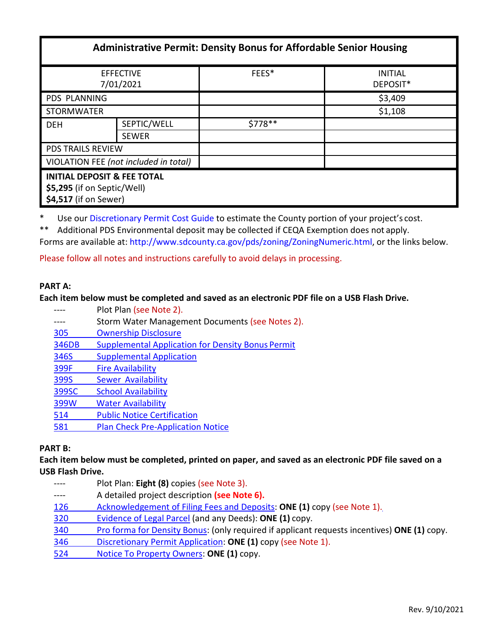| <b>Administrative Permit: Density Bonus for Affordable Senior Housing</b>                      |              |         |                            |
|------------------------------------------------------------------------------------------------|--------------|---------|----------------------------|
| <b>EFFECTIVE</b><br>7/01/2021                                                                  |              | FEES*   | <b>INITIAL</b><br>DEPOSIT* |
| PDS PLANNING                                                                                   |              |         | \$3,409                    |
| <b>STORMWATER</b>                                                                              |              |         | \$1,108                    |
| <b>DEH</b>                                                                                     | SEPTIC/WELL  | \$778** |                            |
|                                                                                                | <b>SEWER</b> |         |                            |
| <b>PDS TRAILS REVIEW</b>                                                                       |              |         |                            |
| VIOLATION FEE (not included in total)                                                          |              |         |                            |
| <b>INITIAL DEPOSIT &amp; FEE TOTAL</b><br>\$5,295 (if on Septic/Well)<br>\$4,517 (if on Sewer) |              |         |                            |

\* Use ou[r Discretionary Permit Cost Guide t](http://www.sandiegocounty.gov/content/dam/sdc/pds/docs/Discretionary_Permit_Cost_Guide.xlsx)o estimate the County portion of your project's cost.

\*\* Additional PDS Environmental deposit may be collected if CEQA Exemption does not apply.

Forms are available at[: http://www.sdcounty.ca.gov/pds/zoning/ZoningNumeric.html,](http://www.sdcounty.ca.gov/pds/zoning/ZoningNumeric.html) or the links below.

Please follow all notes and instructions carefully to avoid delays in processing.

## **PART A:**

### **Each item below must be completed and saved as an electronic PDF file on a USB Flash Drive.**

| Plot Plan (see Note 2).                                  |  |  |
|----------------------------------------------------------|--|--|
| Storm Water Management Documents (see Notes 2).          |  |  |
| <b>Ownership Disclosure</b>                              |  |  |
| <b>Supplemental Application for Density Bonus Permit</b> |  |  |
| <b>Supplemental Application</b>                          |  |  |
| <b>Fire Availability</b>                                 |  |  |
| <b>Sewer Availability</b>                                |  |  |
| <b>School Availability</b>                               |  |  |
| <b>Water Availability</b>                                |  |  |
| <b>Public Notice Certification</b>                       |  |  |
| <b>Plan Check Pre-Application Notice</b>                 |  |  |
|                                                          |  |  |

### **PART B:**

**Each item below must be completed, printed on paper, and saved as an electronic PDF file saved on a USB Flash Drive.**

- ---- Plot Plan: **Eight (8)** copies (see Note 3). ---- A detailed project description **(see Note 6).** 126 [Acknowledgement of Filing Fees and Deposits:](http://www.sdcounty.ca.gov/pds/zoning/formfields/PDS-PLN-126.pdf) **ONE (1)** copy (see Note 1)[.](http://www.sdcounty.ca.gov/pds/zoning/formfields/PDS-PLN-320.pdf) 320 [Evidence of Legal Parcel](http://www.sdcounty.ca.gov/pds/zoning/formfields/PDS-PLN-320.pdf) (and any Deeds): **ONE (1)** copy.
- 340 [Pro forma for Density Bonus:](http://www.sdcounty.ca.gov/pds/zoning/formfields/PDS-PLN-340.pdf) (only required if applicant requests incentives) **ONE (1)** copy[.](http://www.sdcounty.ca.gov/pds/zoning/formfields/PDS-PLN-346.pdf)
- 346 [Discretionary Permit Application:](http://www.sdcounty.ca.gov/pds/zoning/formfields/PDS-PLN-346.pdf) **ONE (1)** copy (see Note 1).
- 524 [Notice To Property Owners:](http://www.sdcounty.ca.gov/pds/zoning/formfields/PDS-PLN-524.pdf) **ONE (1)** copy.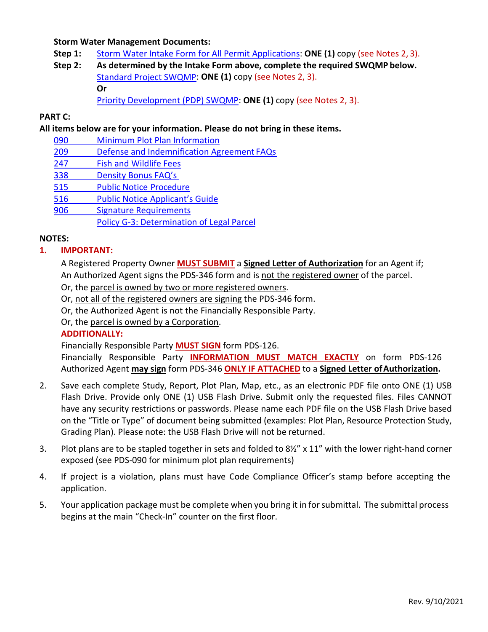### **Storm Water Management Documents:**

- **Step 1:** [Storm Water Intake Form for All Permit Applications:](http://www.sandiegocounty.gov/content/dam/sdc/pds/zoning/formfields/SWQMP-Intake-Form.pdf) **ONE (1)** copy (see Notes 2, 3).
- **Step 2: As determined by the Intake Form above, complete the required SWQMP below.** [Standard Project SWQMP:](http://www.sandiegocounty.gov/content/dam/sdc/pds/zoning/formfields/SWQMP-Standard.pdf) **ONE (1)** copy (see Notes 2, 3). **Or**

[Priority Development \(PDP\) SWQMP:](https://www.sandiegocounty.gov/content/sdc/dpw/watersheds/DevelopmentandConstruction/BMP_Design_Manual.html) **ONE (1)** copy (see Notes 2, 3).

# **PART C:**

**All items below are for your information. Please do not bring in these items.**

- 090 [Minimum Plot Plan](http://www.sdcounty.ca.gov/pds/docs/pds090.pdf) Information
- 209 [Defense and Indemnification Agreement](http://www.sdcounty.ca.gov/pds/zoning/formfields/PDS-PLN-209.pdf) FAQ[s](http://www.sdcounty.ca.gov/pds/zoning/formfields/PDS-PLN-247.pdf)
- 247 [Fish and Wildlife](http://www.sdcounty.ca.gov/pds/zoning/formfields/PDS-PLN-247.pdf) Fees
- 338 [Density Bonus FAQ's](http://www.sandiegocounty.gov/pds/zoning/formfields/PDS-PLN-338.pdf)
- 515 [Public Notice](http://www.sdcounty.ca.gov/pds/zoning/formfields/PDS-PLN-515.pdf) Procedure
- 516 [Public Notice Applicant's](http://www.sdcounty.ca.gov/pds/zoning/formfields/PDS-PLN-516.pdf) Guide
- 906 Signature [Requirements](http://www.sdcounty.ca.gov/pds/zoning/formfields/PDS-PLN-906.pdf)
	- [Policy G-3: Determination of Legal Parcel](http://www.sdcounty.ca.gov/pds/zoning/formfields/POLICY-G-3.pdf)

## **NOTES:**

## **1. IMPORTANT:**

A Registered Property Owner **MUST SUBMIT** a **Signed Letter of Authorization** for an Agent if; An Authorized Agent signs the PDS-346 form and is not the registered owner of the parcel.

- Or, the parcel is owned by two or more registered owners.
- Or, not all of the registered owners are signing the PDS-346 form.
- Or, the Authorized Agent is not the Financially Responsible Party.

Or, the parcel is owned by a Corporation.

## **ADDITIONALLY:**

Financially Responsible Party **MUST SIGN** form PDS-126.

Financially Responsible Party **INFORMATION MUST MATCH EXACTLY** on form PDS-126 Authorized Agent **may sign** form PDS-346 **ONLY IF ATTACHED** to a **Signed Letter ofAuthorization.**

- 2. Save each complete Study, Report, Plot Plan, Map, etc., as an electronic PDF file onto ONE (1) USB Flash Drive. Provide only ONE (1) USB Flash Drive. Submit only the requested files. Files CANNOT have any security restrictions or passwords. Please name each PDF file on the USB Flash Drive based on the "Title or Type" of document being submitted (examples: Plot Plan, Resource Protection Study, Grading Plan). Please note: the USB Flash Drive will not be returned.
- 3. Plot plans are to be stapled together in sets and folded to 8½" x 11" with the lower right-hand corner exposed (see PDS-090 for minimum plot plan requirements)
- 4. If project is a violation, plans must have Code Compliance Officer's stamp before accepting the application.
- 5. Your application package must be complete when you bring it in forsubmittal. The submittal process begins at the main "Check-In" counter on the first floor.